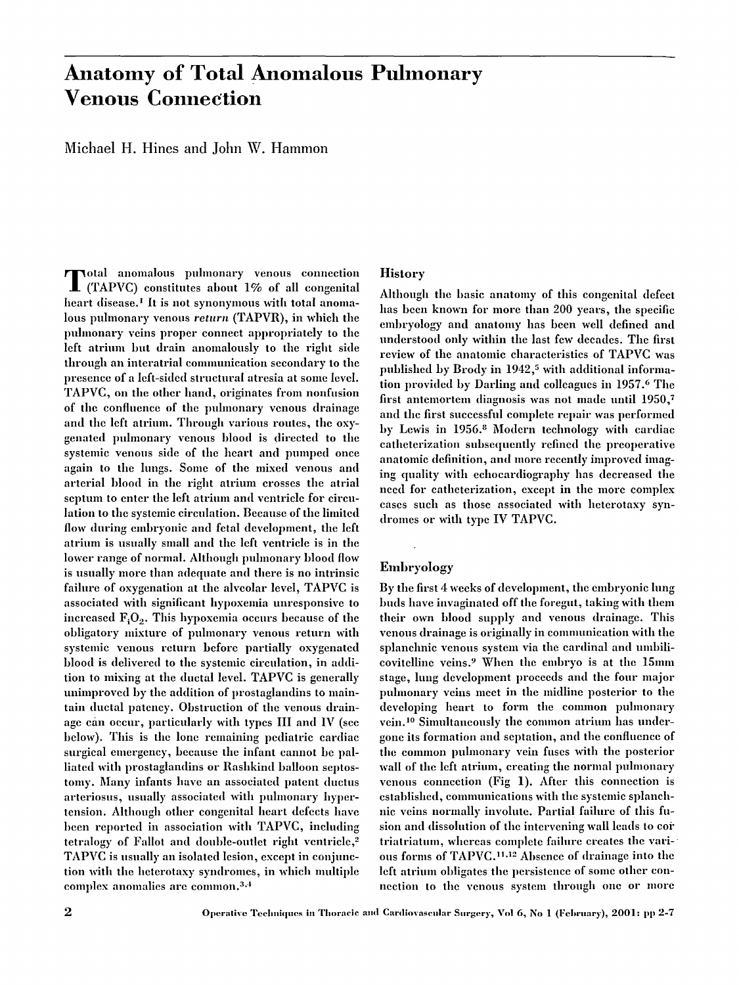# **Anatomy of Total Anomalous Pulmonary Venous Connection**

**Michael H. Hines and John W. Hammon** 

**T** otal anomalous puhnonary venous connection (TAPVC) constitutes about 1% of all congenital heart disease.<sup>1</sup> It is not synonymous with total anomalous puhnonary venous *return* (TAPVR), in which the puhnonary veins proper connect appropriately to the left atrium but drain anomalously to the right side through an interatrial conmmnication secondary to the presence of a left-sided structural atresia at some level. TAPVC, on the other hand, originates from nonfusion of the confluence of the pulmonary venous drainage and the left atrimn. Through various routes, the oxygenated pulmonary venous blood is directed to the systemic venous side of the heart and pumped once again to the hmgs. Some of the mixed venous and arterial blood in the right atrium crosses the atrial septum to enter the left atrium and ventricle for circulation to the systemic circulation. Because of the limited flow during embryonic and fetal development, the left atrium is usually small and the left ventricle is in the lower range of normal. Ahhough pulmonary blood flow is usually more than adequate and there is no intrinsic failure of oxygenation at the alveolar level, TAPVC is associated with significant hypoxemia unresponsive to increased  $F<sub>i</sub>O<sub>2</sub>$ . This hypoxemia occurs because of the obligatory mixture of puhnonary venous return with systemic venous return before partially oxygenated blood is delivered to the systemic circulation, in addition to mixing at the ductal level. TAPVC is generally unimproved by the addition of prostaglandins to maintain ductal patcncy. Obstruction of the venous drainage can occur, particularly with types III and IV (see below). This is the lone remaining pediatric cardiac surgical emergency, because the infant cannot be palliated with prostaglandins or Rashkind balloon septostomy. Many infants have an associated patent ductus arteriosus, usually associated with pulmonary hypertension. Although other congenital heart defects have been reported in association with TAPVC, including tetralogy of Fallot and double-outlet right ventricle,<sup>2</sup> TAPVC is usually an isolated lesion, except in conjunction with the heterotaxy syndromes, in which multiple complex anomalies are common.<sup>3,4</sup>

## **History**

Although the basic anatomy of this congenital defect has been known for more than 200 years, the specific embryology and anatomy has been well defined and understood only within the last few decades. The first review of the anatomic characteristics of TAPVC was published by Brody in 1942,<sup>5</sup> with additional information provided by Darling and colleagues in 1957. 6 The first antemortem diagnosis was not made until 1950, 7 and the first successful complete repair was performed by Lewis in 1956.<sup>8</sup> Modern technology with cardiac catheterization subsequently refined the preoperative anatomic definition, and more recently improved imaging quality with echocardiography has decreased the need for catheterization, except in the more complex cases such as those associated with heterotaxy syndromes or with type IV TAPVC.

## Eml)ryology

By the first 4 weeks of development, the embryonic lung buds have invaginated off the foregut, taking with them their own blood supply and venous drainage. This venous drainage is originally in communication with the splanchnic venous system via the cardinal and umbilicovitelline veins.<sup>9</sup> When the embryo is at the 15mm stage, lung development proceeds and the four major pulmonary veins meet in the midline posterior to the developing heart to form the common puhnonary vein.<sup>10</sup> Simultaneously the common atrium has undergone its formation and septation, and the confluence of the common pulmonary vein fuses with the posterior wall of the left atrium, creating the normal pulmonary venous connection (Fig 1). After this connection is established, communications with the systemic splanchnic veins nornmlly involute. Partial failure of this filsion and dissolution of the intervening wall leads to cor triatriatum, whereas complete failure creates the various forms of TAPVC.<sup>11,12</sup> Absence of drainage into the left atrium obligates the persistence of some other connection to the venous system through one or more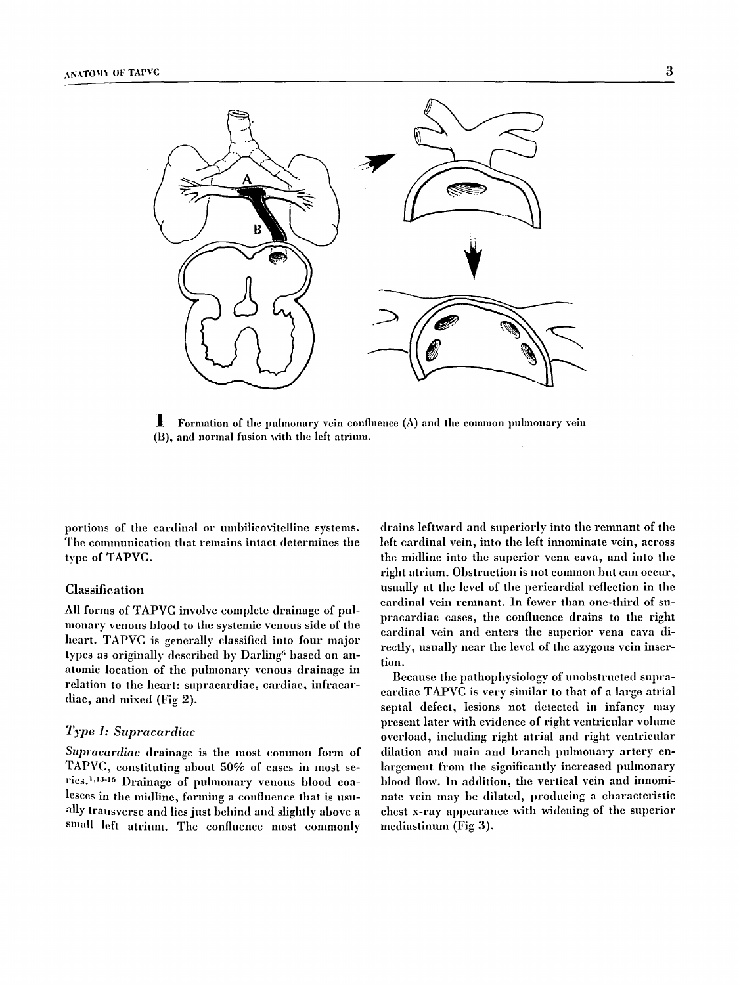

 $\blacksquare$  Formation of the pulmonary vein confluence (A) and the common pulmonary vein (B), and normal fusion with the left atrium.

portions of the cardinal or umbilicovitelline systems. The communication that remains intact determines the type of TAPVC.

#### Classification

All forms of TAPVC involve complete drainage of pulmonary venous blood to the systemic venous side of the heart. TAPVC is generally classified into four major types as originally described by Darling<sup>6</sup> based on anatomic location of the pulmonary venous drainage in relation to the heart: supracardiac, cardiac, infracardiae, and mixed (Fig 2).

## *Type I: Supracardiac*

Supracardiac drainage is the most common form of TAPVC, constituting about 50% of cases in most series.<sup>1,13-16</sup> Drainage of pulmonary venous blood coalesces in the midline, forming a confluence that is usually transverse and lies just behind and slightly above a small left atrium. The confluence most commonly

drains leftward and superiorly into the remnant of the left cardinal vein, into the left innominate vein, across the midline into the superior vena cava, and into the right atrium. Obstruction is not common but can occur, usually at the level of the pericardial reflection in the cardinal vein remnant. In fewer than one-third of **supracardiac** cases, the confluence drains to the right cardinal vein and enters the superior vena cava directly, usually near the level of the azygous vein insertion.

Because the pathophysiology of unobstructed supracardiac TAPVC is very similar to that of a large atrial septal defect, lesions not detected in infancy may present later with evidence of right ventricular volume overload, including right atrial and right ventricular dilation and main and branch pulmonary artery enlargement from the significantly increased pulmonary blood flow. In addition, the vertical vein and innominate vein may be dilated, producing a characteristic chest x-ray appearance with widening of the superior mediastinum (Fig 3).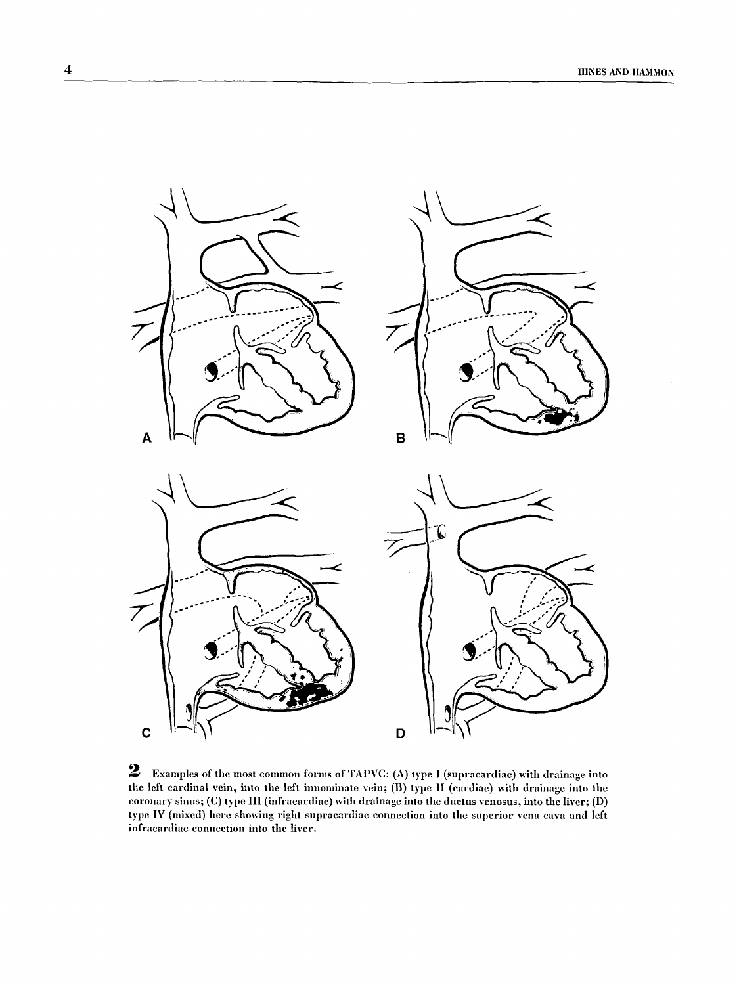

2 Examples of the most common forms of TAPVC: (A) type I (supracardiac) with drainage into the left cardinal vein, into the left innominate vein; (B) type II (cardiac) with drainage into the coronary sinus; (C) type III (infracardiac) with drainage into the ductus venosus, into the liver; (D) type IV (mixed) here showing right supracardiac connection into the superior vena cava and left infracardiac connection into the liver.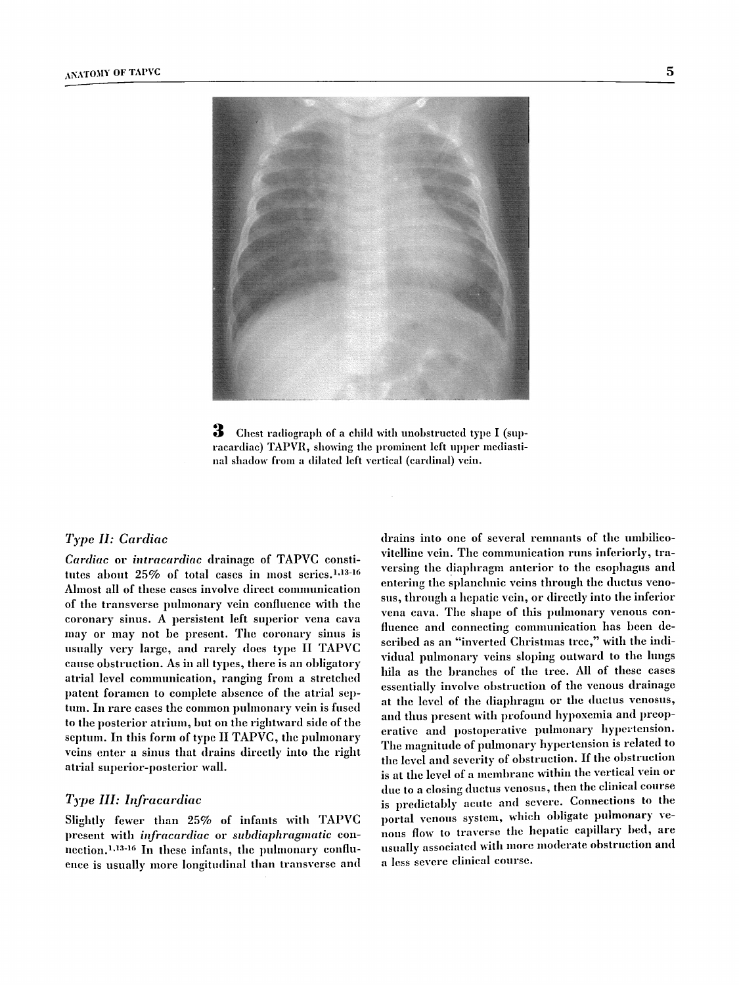

3 Chest radiograph of a child with unobstructed type I (supracardiac) TAPVR, showing the prominent left upper mediastihal shadow from a dilated left vertical (cardinal) vein.

#### *Type H: Cardiac*

*Ctlrdittc* or *intracardiac* drainage of TAPVC constitutes about 25% of total cases in most series.<sup>1,13-16</sup> Ahnost all of these cases involve direct communication of the transverse pulmonary vein confluence with the coronary sinus. A persistent left superior vena cava may or may not be present. The coronary sinus is usually very large, and rarely does type II TAPVC cause obstruction. As in all types, there is an obligatory atrial level communication, ranging from a stretched patent foramen to complete absence of the atrial septum. In rare cases the common pulmonary vein is fused to the posterior atrium, but on the rightward side of the septum. In this form of type II TAPVC, the pulmonary veins enter a sinus that drains directly into the right atrial superior-posterior wall.

## *Type HI: Iafracardiac*

Slightly fewer than 25% of infants with TAPVC present with *infracardiac* or *subdiaphragmatic* connection. 1,13-16 In these infants, the puhnonary confluence is usually more longitudinal than transverse and

drains into one of several remnants of the umbilicovitelline vein. The communication runs inferiorly, traversing the diaphragm anterior to the esophagus and entering the splanchnic veins through the ductus venosus, through a hepatic vein, or directly into the inferior vena cava. The shape of this pulmonary venous confluence and connecting communication has been described as an "inverted Christmas tree," with the individual pulmonary veins sloping outward to the lungs hila as the branches of the tree. All of these cases essentially involve obstruction of the venous drainage at the level of the diaphragm or the ductus venosus, and thus present with profound hypoxemia and preoperative and postoperative pulmonary hypertension. The maguitnde of puhnonary hypertension is related to the level and severity of obstruction. If the obstruction is at the level of a membrane within the vertical vein or due to a closing ductus venosus, then the clinical course is predictably acute and severe. Connections to the portal venous system, which obligate pulmonary venous flow to traverse the hepatic capillary bed, are usually associated with more moderate obstruction and a less severe clinical course.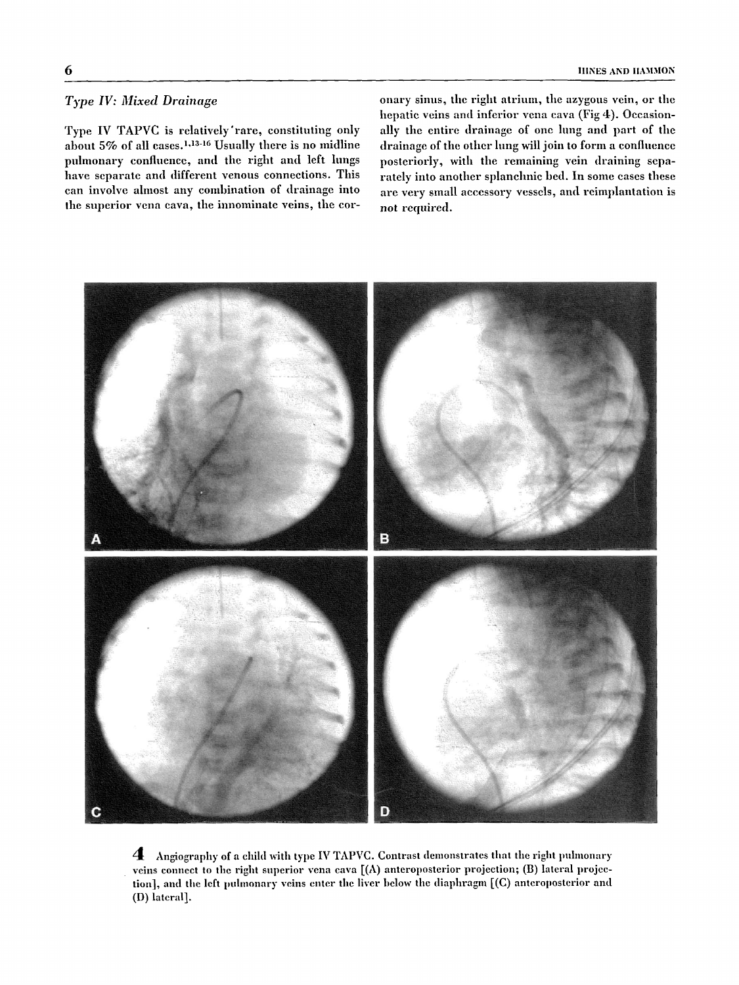## *Type IV: Mixed Drainage*

Type IV TAPVC is relatively'rare, constituting only about  $5\%$  of all cases.<sup>1,13-16</sup> Usually there is no midline pulmonary confluence, and the right and left lungs have separate and different venous connections. This can involve almost any combination of drainage into the superior vena cava, the innominate veins, the coronary sinus, the right atrium, the azygous vein, or the hepatic veins and inferior vena cava (Fig 4). Occasionally the entire drainage of one hmg and part of the drainage of the other lung will join to form a confluence posteriorly, with the remaining vein draining separately into another splanchnic bed. In some cases these are very small accessory vessels, and reimplantation is not required.



4 Angiography of a child with type IV TAPVC. Contrast demonstrates that the right pulmonary veins connect to the right superior vena cava [(A) anteroposterior projection; (B) lateral projection], and the left pulmonary veins enter the liver below the diaphragm [(C) anteroposterior and (D) lateral].